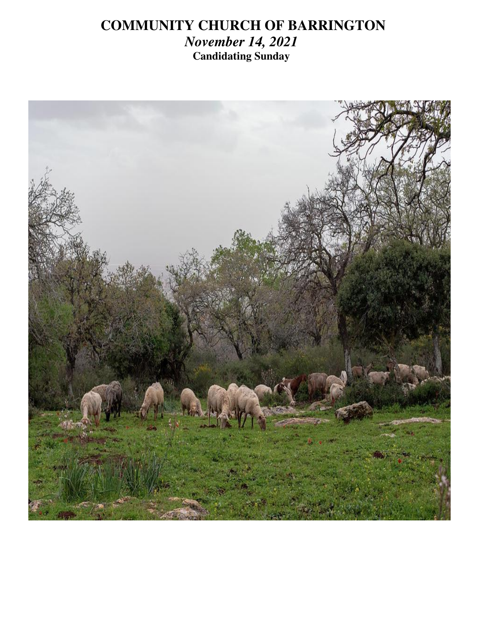# **COMMUNITY CHURCH OF BARRINGTON**

*November 14, 2021*  **Candidating Sunday** 

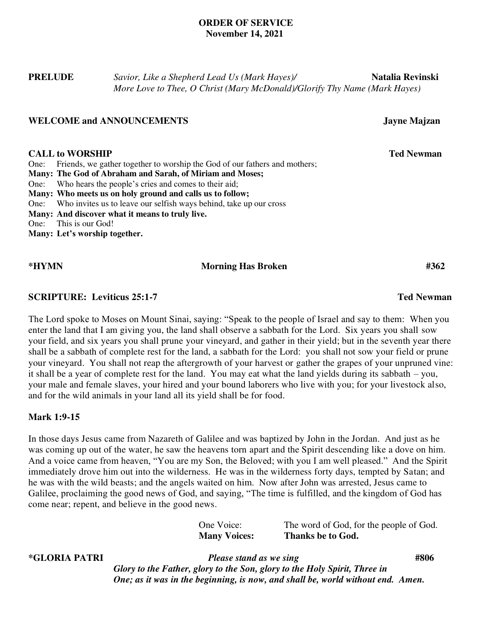#### **ORDER OF SERVICE November 14, 2021**

**PRELUDE** *Savior, Like a Shepherd Lead Us (Mark Hayes)*/ **Natalia Revinski** *More Love to Thee, O Christ (Mary McDonald)/Glorify Thy Name (Mark Hayes)* 

#### **WELCOME and ANNOUNCEMENTS Jayne Majzan**

#### **CALL to WORSHIP Ted Newman CALL to WORSHIP**

One: Friends, we gather together to worship the God of our fathers and mothers; **Many: The God of Abraham and Sarah, of Miriam and Moses;**  One: Who hears the people's cries and comes to their aid; **Many: Who meets us on holy ground and calls us to follow;** One: Who invites us to leave our selfish ways behind, take up our cross **Many: And discover what it means to truly live.** One: This is our God!

**Many: Let's worship together.**

#### **\*HYMN Morning Has Broken #362**

### **SCRIPTURE:** Leviticus 25:1-7 Ted Newman **Ted Newman**

The Lord spoke to Moses on Mount Sinai, saying: "Speak to the people of Israel and say to them: When you enter the land that I am giving you, the land shall observe a sabbath for the Lord. Six years you shall sow your field, and six years you shall prune your vineyard, and gather in their yield; but in the seventh year there shall be a sabbath of complete rest for the land, a sabbath for the Lord: you shall not sow your field or prune your vineyard. You shall not reap the aftergrowth of your harvest or gather the grapes of your unpruned vine: it shall be a year of complete rest for the land. You may eat what the land yields during its sabbath – you, your male and female slaves, your hired and your bound laborers who live with you; for your livestock also, and for the wild animals in your land all its yield shall be for food.

### **Mark 1:9-15**

In those days Jesus came from Nazareth of Galilee and was baptized by John in the Jordan. And just as he was coming up out of the water, he saw the heavens torn apart and the Spirit descending like a dove on him. And a voice came from heaven, "You are my Son, the Beloved; with you I am well pleased." And the Spirit immediately drove him out into the wilderness. He was in the wilderness forty days, tempted by Satan; and he was with the wild beasts; and the angels waited on him. Now after John was arrested, Jesus came to Galilee, proclaiming the good news of God, and saying, "The time is fulfilled, and the kingdom of God has come near; repent, and believe in the good news.

| One Voice:          | The word of God, for the people of God. |
|---------------------|-----------------------------------------|
| <b>Many Voices:</b> | Thanks be to God.                       |

**\*GLORIA PATRI** *Please stand as we sing* **#806** *Glory to the Father, glory to the Son, glory to the Holy Spirit, Three in One; as it was in the beginning, is now, and shall be, world without end. Amen.*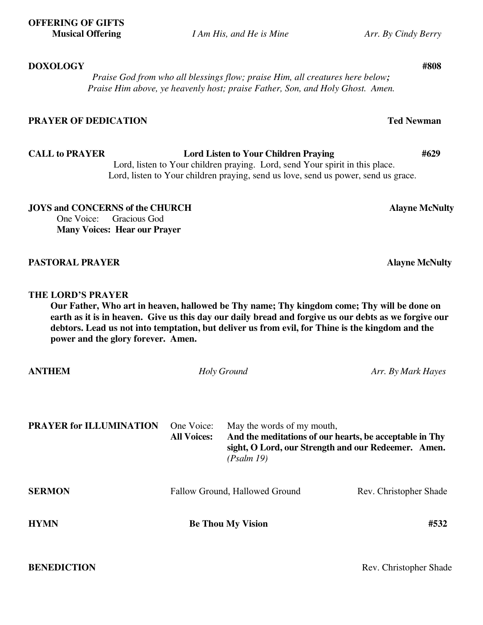**Musical Offering** *I Am His, and He is Mine Arr. By Cindy Berry*

**DOXOLOGY****#808**

 *Praise God from who all blessings flow; praise Him, all creatures here below; Praise Him above, ye heavenly host; praise Father, Son, and Holy Ghost. Amen.* 

# **PRAYER OF DEDICATION The Internal interval of the Interval interval interval interval interval interval interval interval interval interval interval interval interval interval interval interval interval interval interva**

**CALL to PRAYER Lord Listen to Your Children Praying #629**  Lord, listen to Your children praying. Lord, send Your spirit in this place. Lord, listen to Your children praying, send us love, send us power, send us grace.

**JOYS and CONCERNS of the CHURCH Alayne McNulty** One Voice: Gracious God **Many Voices: Hear our Prayer** 

**PASTORAL PRAYER Alayne McNulty** 

# **THE LORD'S PRAYER**

**Our Father, Who art in heaven, hallowed be Thy name; Thy kingdom come; Thy will be done on earth as it is in heaven. Give us this day our daily bread and forgive us our debts as we forgive our debtors. Lead us not into temptation, but deliver us from evil, for Thine is the kingdom and the power and the glory forever. Amen.** 

**PRAYER for ILLUMINATION** One Voice: May the words of my mouth, **All Voices: And the meditations of our hearts, be acceptable in Thy sight, O Lord, our Strength and our Redeemer. Amen.**  *(Psalm 19)*  **SERMON Fallow Ground, Hallowed Ground** Rev. Christopher Shade

**HYMN Be Thou My Vision #532**

**BENEDICTION** Rev. Christopher Shade

**ANTHEM** *Holy Ground Arr. By Mark Hayes*